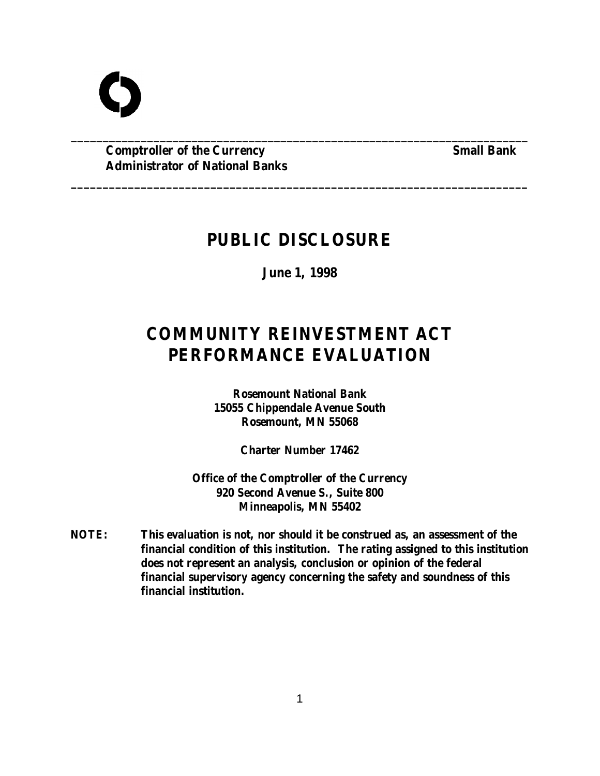**Comptroller of the Currency Small Bank Administrator of National Banks**

# **PUBLIC DISCLOSURE**

\_\_\_\_\_\_\_\_\_\_\_\_\_\_\_\_\_\_\_\_\_\_\_\_\_\_\_\_\_\_\_\_\_\_\_\_\_\_\_\_\_\_\_\_\_\_\_\_\_\_\_\_\_\_\_\_\_\_\_\_\_\_\_\_\_\_\_\_\_\_\_\_

**\_\_\_\_\_\_\_\_\_\_\_\_\_\_\_\_\_\_\_\_\_\_\_\_\_\_\_\_\_\_\_\_\_\_\_\_\_\_\_\_\_\_\_\_\_\_\_\_\_\_\_\_\_\_\_\_\_\_\_\_\_\_\_\_\_\_\_\_\_\_\_\_**

**June 1, 1998**

# **COMMUNITY REINVESTMENT ACT PERFORMANCE EVALUATION**

**Rosemount National Bank 15055 Chippendale Avenue South Rosemount, MN 55068**

**Charter Number 17462**

**Office of the Comptroller of the Currency 920 Second Avenue S., Suite 800 Minneapolis, MN 55402**

**NOTE: This evaluation is not, nor should it be construed as, an assessment of the financial condition of this institution. The rating assigned to this institution does not represent an analysis, conclusion or opinion of the federal financial supervisory agency concerning the safety and soundness of this financial institution.**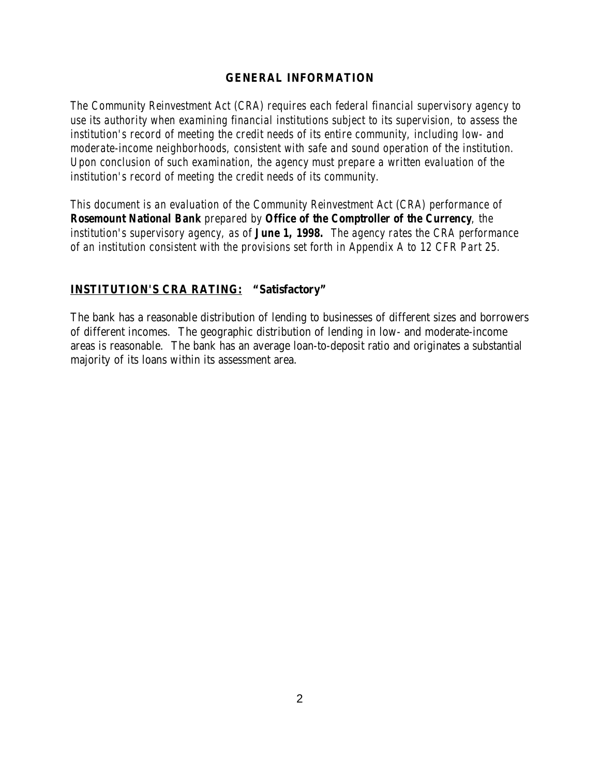#### **GENERAL INFORMATION**

*The Community Reinvestment Act (CRA) requires each federal financial supervisory agency to use its authority when examining financial institutions subject to its supervision, to assess the institution's record of meeting the credit needs of its entire community, including low- and moderate-income neighborhoods, consistent with safe and sound operation of the institution. Upon conclusion of such examination, the agency must prepare a written evaluation of the institution's record of meeting the credit needs of its community.* 

*This document is an evaluation of the Community Reinvestment Act (CRA) performance of Rosemount National Bank prepared by Office of the Comptroller of the Currency, the institution's supervisory agency, as of June 1, 1998. The agency rates the CRA performance of an institution consistent with the provisions set forth in Appendix A to 12 CFR Part 25.*

#### **INSTITUTION'S CRA RATING: "Satisfactory"**

The bank has a reasonable distribution of lending to businesses of different sizes and borrowers of different incomes. The geographic distribution of lending in low- and moderate-income areas is reasonable. The bank has an average loan-to-deposit ratio and originates a substantial majority of its loans within its assessment area.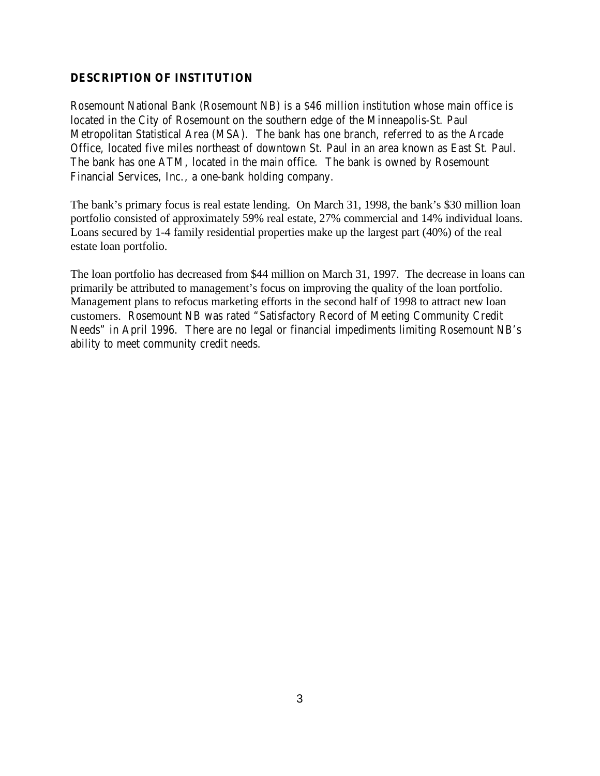#### **DESCRIPTION OF INSTITUTION**

Rosemount National Bank (Rosemount NB) is a \$46 million institution whose main office is located in the City of Rosemount on the southern edge of the Minneapolis-St. Paul Metropolitan Statistical Area (MSA). The bank has one branch, referred to as the Arcade Office, located five miles northeast of downtown St. Paul in an area known as East St. Paul. The bank has one ATM, located in the main office. The bank is owned by Rosemount Financial Services, Inc., a one-bank holding company.

The bank's primary focus is real estate lending. On March 31, 1998, the bank's \$30 million loan portfolio consisted of approximately 59% real estate, 27% commercial and 14% individual loans. Loans secured by 1-4 family residential properties make up the largest part (40%) of the real estate loan portfolio.

The loan portfolio has decreased from \$44 million on March 31, 1997. The decrease in loans can primarily be attributed to management's focus on improving the quality of the loan portfolio. Management plans to refocus marketing efforts in the second half of 1998 to attract new loan customers. Rosemount NB was rated "Satisfactory Record of Meeting Community Credit Needs" in April 1996. There are no legal or financial impediments limiting Rosemount NB's ability to meet community credit needs.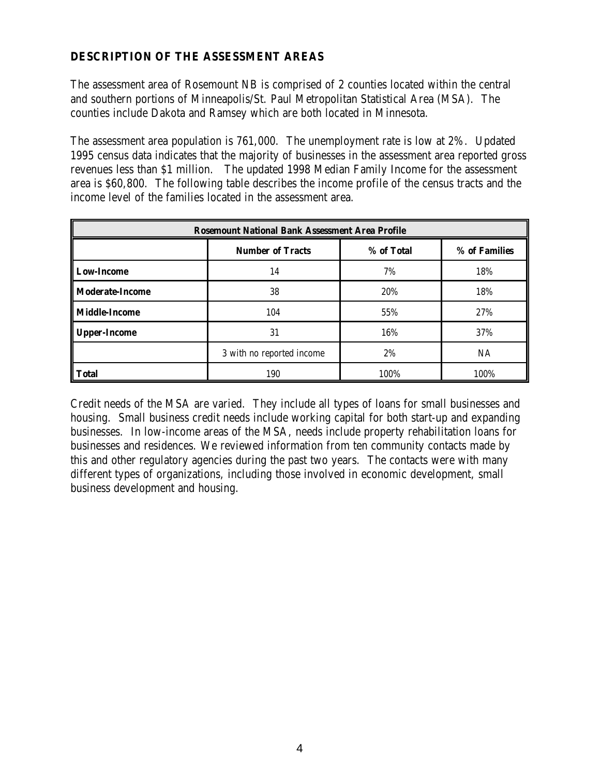# **DESCRIPTION OF THE ASSESSMENT AREAS**

The assessment area of Rosemount NB is comprised of 2 counties located within the central and southern portions of Minneapolis/St. Paul Metropolitan Statistical Area (MSA). The counties include Dakota and Ramsey which are both located in Minnesota.

The assessment area population is 761,000. The unemployment rate is low at 2%. Updated 1995 census data indicates that the majority of businesses in the assessment area reported gross revenues less than \$1 million. The updated 1998 Median Family Income for the assessment area is \$60,800. The following table describes the income profile of the census tracts and the income level of the families located in the assessment area.

| <b>Rosemount National Bank Assessment Area Profile</b> |                           |            |               |  |  |
|--------------------------------------------------------|---------------------------|------------|---------------|--|--|
|                                                        | <b>Number of Tracts</b>   | % of Total | % of Families |  |  |
| <b>Low-Income</b>                                      | 14                        | 7%         | 18%           |  |  |
| <b>Moderate-Income</b>                                 | 38                        | 20%        | 18%           |  |  |
| <b>Middle-Income</b>                                   | 104                       | 55%        | 27%           |  |  |
| Upper-Income                                           | 31                        | 16%        | 37%           |  |  |
|                                                        | 3 with no reported income | 2%         | <b>NA</b>     |  |  |
| Total                                                  | 190                       | 100%       | 100%          |  |  |

Credit needs of the MSA are varied. They include all types of loans for small businesses and housing. Small business credit needs include working capital for both start-up and expanding businesses. In low-income areas of the MSA, needs include property rehabilitation loans for businesses and residences. We reviewed information from ten community contacts made by this and other regulatory agencies during the past two years. The contacts were with many different types of organizations, including those involved in economic development, small business development and housing.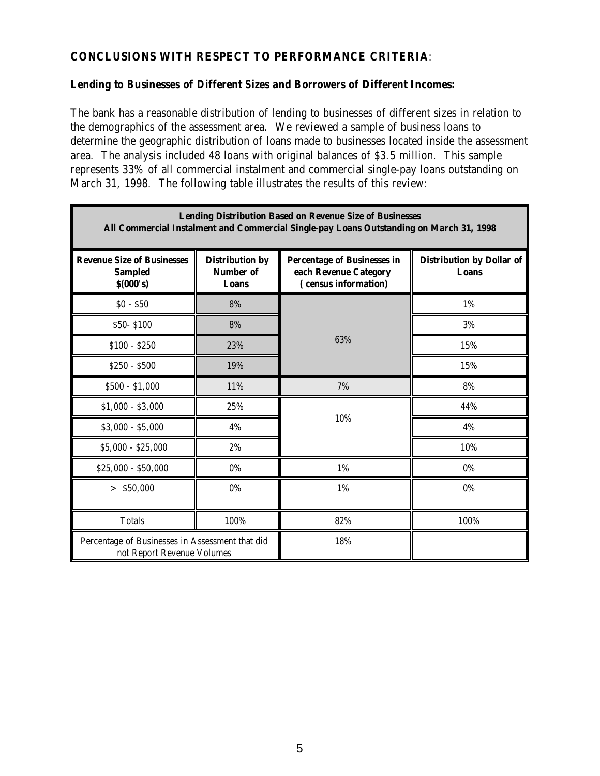## **CONCLUSIONS WITH RESPECT TO PERFORMANCE CRITERIA**:

#### *Lending to Businesses of Different Sizes and Borrowers of Different Incomes:*

The bank has a reasonable distribution of lending to businesses of different sizes in relation to the demographics of the assessment area. We reviewed a sample of business loans to determine the geographic distribution of loans made to businesses located inside the assessment area. The analysis included 48 loans with original balances of \$3.5 million. This sample represents 33% of all commercial instalment and commercial single-pay loans outstanding on March 31, 1998. The following table illustrates the results of this review:

| <b>Lending Distribution Based on Revenue Size of Businesses</b><br>All Commercial Instalment and Commercial Single-pay Loans Outstanding on March 31, 1998 |                                                            |                                                                                     |                                    |  |  |  |
|------------------------------------------------------------------------------------------------------------------------------------------------------------|------------------------------------------------------------|-------------------------------------------------------------------------------------|------------------------------------|--|--|--|
| <b>Revenue Size of Businesses</b><br><b>Sampled</b><br>\$(000's)                                                                                           | <b>Distribution by</b><br><b>Number of</b><br><b>Loans</b> | <b>Percentage of Businesses in</b><br>each Revenue Category<br>(census information) | Distribution by Dollar of<br>Loans |  |  |  |
| $$0 - $50$                                                                                                                                                 | 8%                                                         | 63%                                                                                 | 1%                                 |  |  |  |
| \$50-\$100                                                                                                                                                 | 8%                                                         |                                                                                     | 3%                                 |  |  |  |
| $$100 - $250$                                                                                                                                              | 23%                                                        |                                                                                     | 15%                                |  |  |  |
| $$250 - $500$                                                                                                                                              | 19%                                                        |                                                                                     | 15%                                |  |  |  |
| $$500 - $1,000$                                                                                                                                            | 11%                                                        | 7%                                                                                  | 8%                                 |  |  |  |
| $$1,000 - $3,000$                                                                                                                                          | 25%                                                        | 10%                                                                                 | 44%                                |  |  |  |
| $$3,000 - $5,000$                                                                                                                                          | 4%                                                         |                                                                                     | 4%                                 |  |  |  |
| $$5,000 - $25,000$                                                                                                                                         | 2%                                                         |                                                                                     | 10%                                |  |  |  |
| $$25,000 - $50,000$                                                                                                                                        | 0%                                                         | 1%                                                                                  | 0%                                 |  |  |  |
| $>$ \$50,000                                                                                                                                               | $0\%$                                                      | 1%                                                                                  | 0%                                 |  |  |  |
| <b>Totals</b>                                                                                                                                              | 100%                                                       | 82%                                                                                 | 100%                               |  |  |  |
| Percentage of Businesses in Assessment that did<br>not Report Revenue Volumes                                                                              |                                                            | 18%                                                                                 |                                    |  |  |  |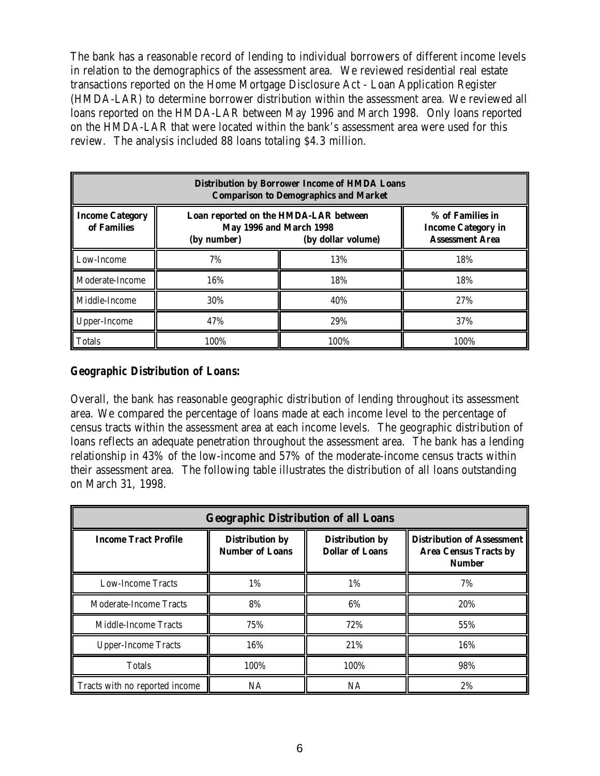The bank has a reasonable record of lending to individual borrowers of different income levels in relation to the demographics of the assessment area. We reviewed residential real estate transactions reported on the Home Mortgage Disclosure Act - Loan Application Register (HMDA-LAR) to determine borrower distribution within the assessment area. We reviewed all loans reported on the HMDA-LAR between May 1996 and March 1998. Only loans reported on the HMDA-LAR that were located within the bank's assessment area were used for this review. The analysis included 88 loans totaling \$4.3 million.

| <b>Distribution by Borrower Income of HMDA Loans</b><br><b>Comparison to Demographics and Market</b> |             |                                                                                               |      |  |  |  |
|------------------------------------------------------------------------------------------------------|-------------|-----------------------------------------------------------------------------------------------|------|--|--|--|
| <b>Income Category</b><br>of Families                                                                | (by number) | Loan reported on the HMDA-LAR between<br><b>May 1996 and March 1998</b><br>(by dollar volume) |      |  |  |  |
| Low-Income                                                                                           | 7%          | 13%                                                                                           | 18%  |  |  |  |
| Moderate-Income                                                                                      | 16%         | 18%                                                                                           | 18%  |  |  |  |
| Middle-Income                                                                                        | 30%         | 40%                                                                                           | 27%  |  |  |  |
| Upper-Income                                                                                         | 47%         | 29%                                                                                           | 37%  |  |  |  |
| Totals                                                                                               | 100%        | 100%                                                                                          | 100% |  |  |  |

### *Geographic Distribution of Loans:*

Overall, the bank has reasonable geographic distribution of lending throughout its assessment area. We compared the percentage of loans made at each income level to the percentage of census tracts within the assessment area at each income levels. The geographic distribution of loans reflects an adequate penetration throughout the assessment area. The bank has a lending relationship in 43% of the low-income and 57% of the moderate-income census tracts within their assessment area. The following table illustrates the distribution of all loans outstanding on March 31, 1998.

| <b>Geographic Distribution of all Loans</b> |                                                  |                                                  |                                                                                    |  |  |
|---------------------------------------------|--------------------------------------------------|--------------------------------------------------|------------------------------------------------------------------------------------|--|--|
| <b>Income Tract Profile</b>                 | <b>Distribution by</b><br><b>Number of Loans</b> | <b>Distribution by</b><br><b>Dollar of Loans</b> | <b>Distribution of Assessment</b><br><b>Area Census Tracts by</b><br><b>Number</b> |  |  |
| <b>Low-Income Tracts</b>                    | 1%                                               | 1%                                               | 7%                                                                                 |  |  |
| Moderate-Income Tracts                      | 8%                                               | 6%                                               | 20%                                                                                |  |  |
| Middle-Income Tracts                        | 75%                                              | 72%                                              | 55%                                                                                |  |  |
| <b>Upper-Income Tracts</b>                  | 16%                                              | 21%                                              | 16%                                                                                |  |  |
| Totals                                      | 100%                                             | 100%                                             | 98%                                                                                |  |  |
| Tracts with no reported income              | NA                                               | NA                                               | 2%                                                                                 |  |  |